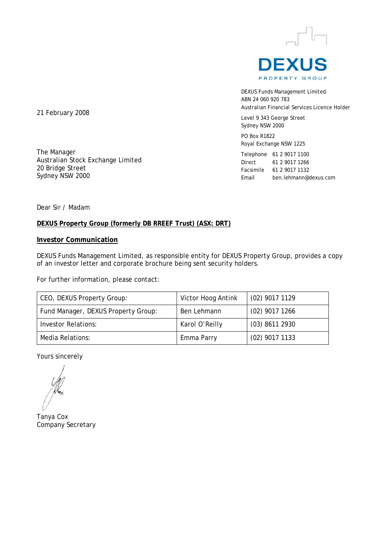

DEXUS Funds Management Limited ABN 24 060 920 783 Australian Financial Services Licence Holder

Level 9 343 George Street Sydney NSW 2000

PO Box R1822 Royal Exchange NSW 1225

Telephone 61 2 9017 1100 Direct 61 2 9017 1266 Facsimile 61 2 9017 1132 Email ben.lehmann@dexus.com

21 February 2008

The Manager Australian Stock Exchange Limited 20 Bridge Street Sydney NSW 2000

Dear Sir / Madam

#### **DEXUS Property Group (formerly DB RREEF Trust) (ASX: DRT)**

#### **Investor Communication**

DEXUS Funds Management Limited, as responsible entity for DEXUS Property Group, provides a copy of an investor letter and corporate brochure being sent security holders.

For further information, please contact:

| CEO, DEXUS Property Group:          | Victor Hoog Antink | $(02)$ 9017 1129 |
|-------------------------------------|--------------------|------------------|
| Fund Manager, DEXUS Property Group: | Ben Lehmann        | $(02)$ 9017 1266 |
| <b>Investor Relations:</b>          | Karol O'Reilly     | $(03)$ 8611 2930 |
| Media Relations:                    | Emma Parry         | $(02)$ 9017 1133 |

Yours sincerely

Tanya Cox Company Secretary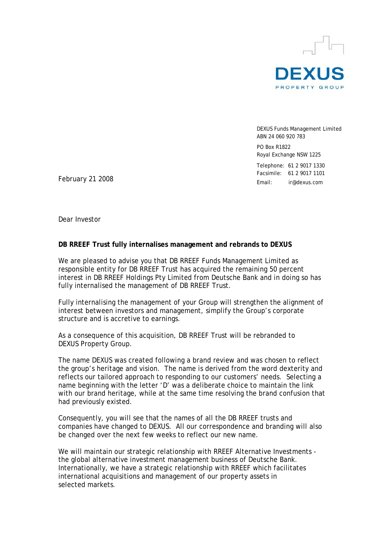

DEXUS Funds Management Limited ABN 24 060 920 783 PO Box R1822 Royal Exchange NSW 1225 Telephone: 61 2 9017 1330 Facsimile: 61 2 9017 1101 Email: ir@dexus.com

February 21 2008

Dear Investor

#### **DB RREEF Trust fully internalises management and rebrands to DEXUS**

We are pleased to advise you that DB RREEF Funds Management Limited as responsible entity for DB RREEF Trust has acquired the remaining 50 percent interest in DB RREEF Holdings Pty Limited from Deutsche Bank and in doing so has fully internalised the management of DB RREEF Trust.

Fully internalising the management of your Group will strengthen the alignment of interest between investors and management, simplify the Group's corporate structure and is accretive to earnings.

As a consequence of this acquisition, DB RREEF Trust will be rebranded to DEXUS Property Group.

The name DEXUS was created following a brand review and was chosen to reflect the group's heritage and vision. The name is derived from the word dexterity and reflects our tailored approach to responding to our customers' needs. Selecting a name beginning with the letter 'D' was a deliberate choice to maintain the link with our brand heritage, while at the same time resolving the brand confusion that had previously existed.

Consequently, you will see that the names of all the DB RREEF trusts and companies have changed to DEXUS. All our correspondence and branding will also be changed over the next few weeks to reflect our new name.

We will maintain our strategic relationship with RREEF Alternative Investments the global alternative investment management business of Deutsche Bank. Internationally, we have a strategic relationship with RREEF which facilitates international acquisitions and management of our property assets in selected markets.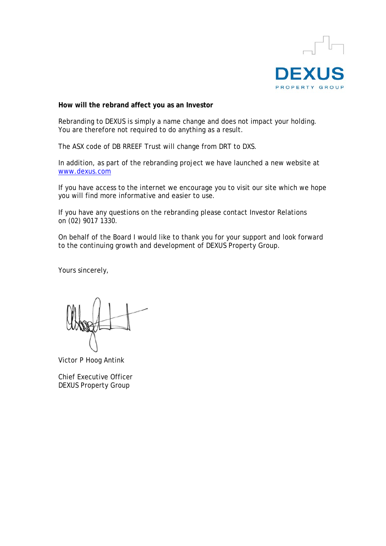

**How will the rebrand affect you as an Investor** 

Rebranding to DEXUS is simply a name change and does not impact your holding. You are therefore not required to do anything as a result.

The ASX code of DB RREEF Trust will change from DRT to DXS.

In addition, as part of the rebranding project we have launched a new website at www.dexus.com

If you have access to the internet we encourage you to visit our site which we hope you will find more informative and easier to use.

If you have any questions on the rebranding please contact Investor Relations on (02) 9017 1330.

On behalf of the Board I would like to thank you for your support and look forward to the continuing growth and development of DEXUS Property Group.

Yours sincerely,

Victor P Hoog Antink

Chief Executive Officer DEXUS Property Group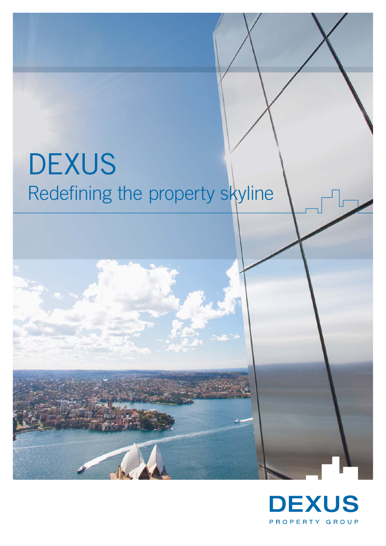# **DEXUS** Redefining the property skyline

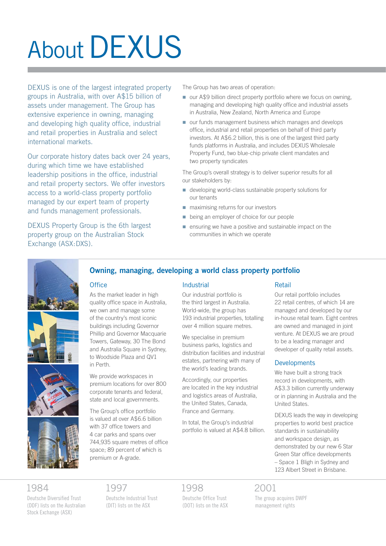# **About DEXUS**

DEXUS is one of the largest integrated property groups in Australia, with over A\$15 billion of assets under management. The Group has extensive experience in owning, managing and developing high quality office, industrial and retail properties in Australia and select international markets.

Our corporate history dates back over 24 years, during which time we have established leadership positions in the office, industrial and retail property sectors. We offer investors access to a world-class property portfolio managed by our expert team of property and funds management professionals.

DEXUS Property Group is the 6th largest property group on the Australian Stock Exchange (ASX:DXS).

The Group has two areas of operation:

- our A\$9 billion direct property portfolio where we focus on owning, managing and developing high quality office and industrial assets in Australia, New Zealand, North America and Europe
- our funds management business which manages and develops office, industrial and retail properties on behalf of third party investors. At A\$6.2 billion, this is one of the largest third party funds platforms in Australia, and includes DEXUS Wholesale Property Fund, two blue-chip private client mandates and two property syndicates

The Group's overall strategy is to deliver superior results for all our stakeholders by:

- developing world-class sustainable property solutions for our tenants n
- maximising returns for our investors
- being an employer of choice for our people n
- **E** ensuring we have a positive and sustainable impact on the communities in which we operate



### **Owning, managing, developing a world class property portfolio**

#### **Office**

As the market leader in high quality office space in Australia, we own and manage some of the country's most iconic buildings including Governor Phillip and Governor Macquarie Towers, Gateway, 30 The Bond and Australia Square in Sydney, to Woodside Plaza and QV1 in Perth.

We provide workspaces in premium locations for over 800 corporate tenants and federal, state and local governments.

The Group's office portfolio is valued at over A\$6.6 billion with 37 office towers and 4 car parks and spans over 744,935 square metres of office space; 89 percent of which is premium or A-grade.

#### Industrial

Our industrial portfolio is the third largest in Australia. World-wide, the group has 193 industrial properties, totalling over 4 million square metres.

We specialise in premium business parks, logistics and distribution facilities and industrial estates, partnering with many of the world's leading brands.

Accordingly, our properties are located in the key industrial and logistics areas of Australia, the United States, Canada, France and Germany.

In total, the Group's industrial portfolio is valued at A\$4.8 billion.

#### Retail

Our retail portfolio includes 22 retail centres, of which 14 are managed and developed by our in-house retail team. Eight centres are owned and managed in joint venture. At DEXUS we are proud to be a leading manager and developer of quality retail assets.

#### **Developments**

We have built a strong track record in developments, with A\$3.3 billion currently underway or in planning in Australia and the United States.

DEXUS leads the way in developing properties to world best practice standards in sustainability and workspace design, as demonstrated by our new 6 Star Green Star office developments – Space 1 Bligh in Sydney and 123 Albert Street in Brisbane.

## 1984

Deutsche Diversified Trust (DDF) lists on the Australian Stock Exchange (ASX)

## 1997

Deutsche Industrial Trust (DIT) lists on the ASX

# 1998

Deutsche Office Trust (DOT) lists on the ASX

### 2001

The group acquires DWPF management rights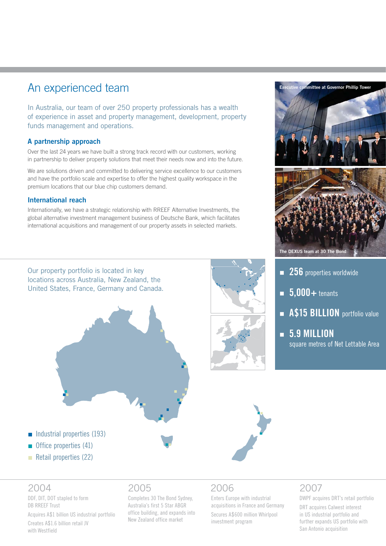# An experienced team

In Australia, our team of over 250 property professionals has a wealth of experience in asset and property management, development, property funds management and operations.

#### **A partnership approach**

Over the last 24 years we have built a strong track record with our customers, working in partnership to deliver property solutions that meet their needs now and into the future.

We are solutions driven and committed to delivering service excellence to our customers and have the portfolio scale and expertise to offer the highest quality workspace in the premium locations that our blue chip customers demand.

#### **International reach**

Internationally, we have a strategic relationship with RREEF Alternative Investments, the global alternative investment management business of Deutsche Bank, which facilitates international acquisitions and management of our property assets in selected markets.

Our property portfolio is located in key locations across Australia, New Zealand, the United States, France, Germany and Canada.





- **256** properties worldwide
- **5,000+** tenants
- **A\$15 BILLION** portfolio value
- **5.9 MILLION**  n square metres of Net Lettable Area

#### $\blacksquare$  Industrial properties (193)

- $\blacksquare$  Office properties (41)
- Retail properties (22)

### 2004

DDF, DIT, DOT stapled to form DB RREEF Trust

Acquires A\$1 billion US industrial portfolio Creates A\$1.6 billion retail JV with Westfield

## 2005

Completes 30 The Bond Sydney, Australia's first 5 Star ABGR office building, and expands into New Zealand office market

# 2006

Enters Europe with industrial acquisitions in France and Germany

Secures A\$600 million Whirlpool investment program

# 2007

DWPF acquires DRT's retail portfolio

DRT acquires Calwest interest in US industrial portfolio and further expands US portfolio with San Antonio acquisition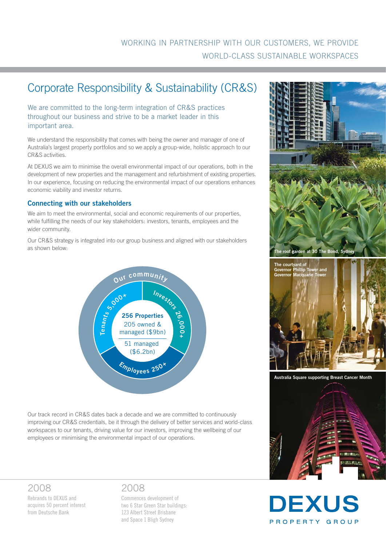## WORKING IN PARTNERSHIP WITH OUR CUSTOMERS, WE PROVIDE WORLD-CLASS SUSTAINABLE WORKSPACES

# Corporate Responsibility & Sustainability (CR&S)

We are committed to the long-term integration of CR&S practices throughout our business and strive to be a market leader in this important area.

We understand the responsibility that comes with being the owner and manager of one of Australia's largest property portfolios and so we apply a group-wide, holistic approach to our CR&S activities.

At DEXUS we aim to minimise the overall environmental impact of our operations, both in the development of new properties and the management and refurbishment of existing properties. In our experience, focusing on reducing the environmental impact of our operations enhances economic viability and investor returns.

#### **Connecting with our stakeholders**

We aim to meet the environmental, social and economic requirements of our properties, while fulfilling the needs of our key stakeholders: investors, tenants, employees and the wider community.

Our CR&S strategy is integrated into our group business and aligned with our stakeholders as shown below:



Our track record in CR&S dates back a decade and we are committed to continuously improving our CR&S credentials, be it through the delivery of better services and world-class workspaces to our tenants, driving value for our investors, improving the wellbeing of our employees or minimising the environmental impact of our operations.

## 2008

Rebrands to DEXUS and acquires 50 percent interest from Deutsche Bank

## 2008

Commences development of two 6 Star Green Star buildings: 123 Albert Street Brisbane and Space 1 Bligh Sydney



**Australia Square supporting Breast Cancer Month**



**DEXUS** 

PROPERTY GROUP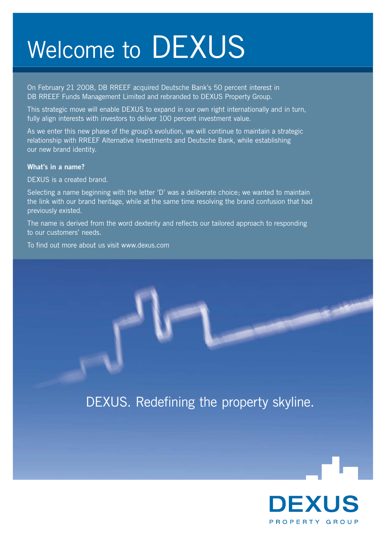# Welcome to DEXUS

On February 21 2008, DB RREEF acquired Deutsche Bank's 50 percent interest in DB RREEF Funds Management Limited and rebranded to DEXUS Property Group.

This strategic move will enable DEXUS to expand in our own right internationally and in turn, fully align interests with investors to deliver 100 percent investment value.

As we enter this new phase of the group's evolution, we will continue to maintain a strategic relationship with RREEF Alternative Investments and Deutsche Bank, while establishing our new brand identity.

#### **What's in a name?**

DEXUS is a created brand.

Selecting a name beginning with the letter 'D' was a deliberate choice; we wanted to maintain the link with our brand heritage, while at the same time resolving the brand confusion that had previously existed.

The name is derived from the word dexterity and reflects our tailored approach to responding to our customers' needs.

To find out more about us visit www.dexus.com

# DEXUS. Redefining the property skyline.